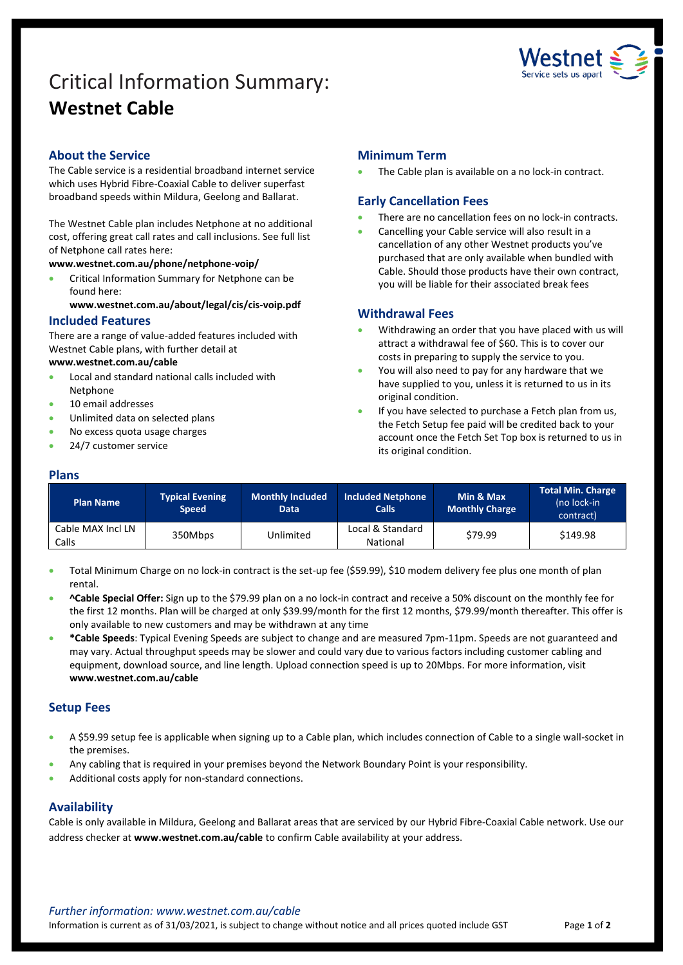# Critical Information Summary: **Westnet Cable**



# **About the Service**

The Cable service is a residential broadband internet service which uses Hybrid Fibre-Coaxial Cable to deliver superfast broadband speeds within Mildura, Geelong and Ballarat.

The Westnet Cable plan includes Netphone at no additional cost, offering great call rates and call inclusions. See full list of Netphone call rates here:

**[www.westnet.com.au/phone/netphone-voip/](https://www.westnet.com.au/phone/netphone-voip/)**

• Critical Information Summary for Netphone can be found here:

**[www.westnet.com.au/about/legal/cis/cis-voip.pdf](http://www.westnet.com.au/about/legal/cis/cis-voip.pdf)**

## **Included Features**

There are a range of value-added features included with Westnet Cable plans, with further detail at

#### **[www.westnet.com.au/cable](http://www.westnet.com.au/cable)**

- Local and standard national calls included with Netphone
- 10 email addresses
- Unlimited data on selected plans
- No excess quota usage charges
- 24/7 customer service

## **Minimum Term**

The Cable plan is available on a no lock-in contract.

## **Early Cancellation Fees**

- There are no cancellation fees on no lock-in contracts.
- Cancelling your Cable service will also result in a cancellation of any other Westnet products you've purchased that are only available when bundled with Cable. Should those products have their own contract, you will be liable for their associated break fees

## **Withdrawal Fees**

- Withdrawing an order that you have placed with us will attract a withdrawal fee of \$60. This is to cover our costs in preparing to supply the service to you.
- You will also need to pay for any hardware that we have supplied to you, unless it is returned to us in its original condition.
- If you have selected to purchase a Fetch plan from us, the Fetch Setup fee paid will be credited back to your account once the Fetch Set Top box is returned to us in its original condition.

# **Plans**

| <b>Plan Name</b>           | <b>Typical Evening</b><br><b>Speed</b> | <b>Monthly Included</b><br><b>Data</b> | <b>Included Netphone</b><br><b>Calls</b> | Min & Max<br><b>Monthly Charge</b> | <b>Total Min. Charge</b><br>(no lock-in<br>contract) |
|----------------------------|----------------------------------------|----------------------------------------|------------------------------------------|------------------------------------|------------------------------------------------------|
| Cable MAX Incl LN<br>Calls | 350Mbps                                | Unlimited                              | Local & Standard<br>National             | \$79.99                            | \$149.98                                             |

• Total Minimum Charge on no lock-in contract is the set-up fee (\$59.99), \$10 modem delivery fee plus one month of plan rental.

- **^Cable Special Offer:** Sign up to the \$79.99 plan on a no lock-in contract and receive a 50% discount on the monthly fee for the first 12 months. Plan will be charged at only \$39.99/month for the first 12 months, \$79.99/month thereafter. This offer is only available to new customers and may be withdrawn at any time
- **\*Cable Speeds**: Typical Evening Speeds are subject to change and are measured 7pm-11pm. Speeds are not guaranteed and may vary. Actual throughput speeds may be slower and could vary due to various factors including customer cabling and equipment, download source, and line length. Upload connection speed is up to 20Mbps. For more information, visit **www.westnet.com.au/cable**

# **Setup Fees**

- A \$59.99 setup fee is applicable when signing up to a Cable plan, which includes connection of Cable to a single wall-socket in the premises.
- Any cabling that is required in your premises beyond the Network Boundary Point is your responsibility.
- Additional costs apply for non-standard connections.

#### **Availability**

Cable is only available in Mildura, Geelong and Ballarat areas that are serviced by our Hybrid Fibre-Coaxial Cable network. Use our address checker at **www.westnet.com.au/cable** to confirm Cable availability at your address.